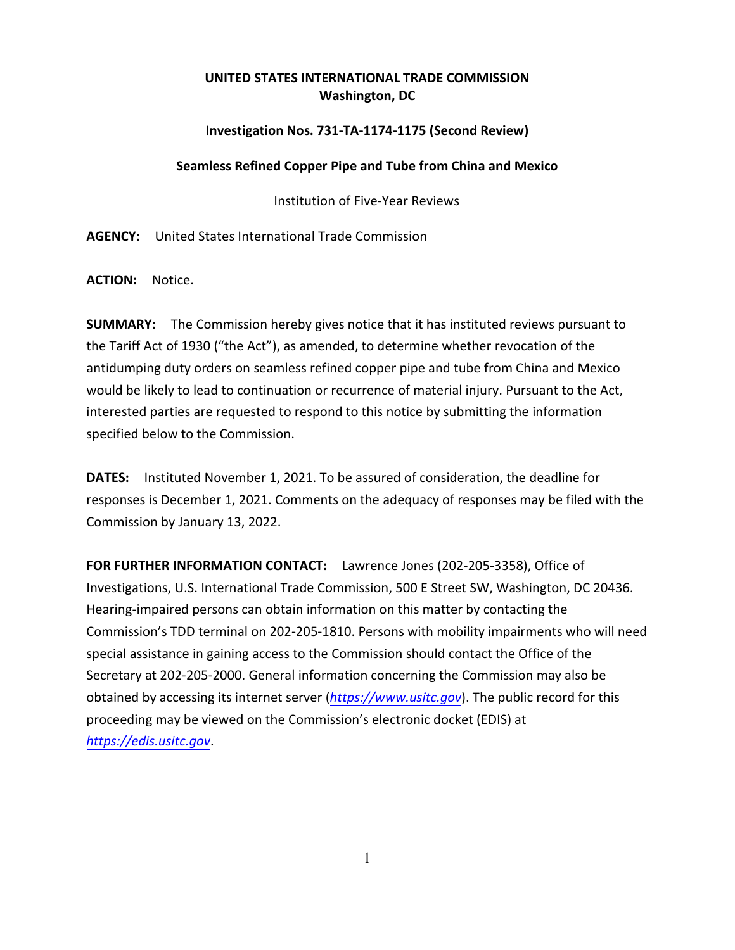## **UNITED STATES INTERNATIONAL TRADE COMMISSION Washington, DC**

## **Investigation Nos. 731-TA-1174-1175 (Second Review)**

## **Seamless Refined Copper Pipe and Tube from China and Mexico**

Institution of Five-Year Reviews

**AGENCY:** United States International Trade Commission

**ACTION:** Notice.

**SUMMARY:** The Commission hereby gives notice that it has instituted reviews pursuant to the Tariff Act of 1930 ("the Act"), as amended, to determine whether revocation of the antidumping duty orders on seamless refined copper pipe and tube from China and Mexico would be likely to lead to continuation or recurrence of material injury. Pursuant to the Act, interested parties are requested to respond to this notice by submitting the information specified below to the Commission.

**DATES:** Instituted November 1, 2021. To be assured of consideration, the deadline for responses is December 1, 2021. Comments on the adequacy of responses may be filed with the Commission by January 13, 2022.

**FOR FURTHER INFORMATION CONTACT:** Lawrence Jones (202-205-3358), Office of Investigations, U.S. International Trade Commission, 500 E Street SW, Washington, DC 20436. Hearing-impaired persons can obtain information on this matter by contacting the Commission's TDD terminal on 202-205-1810. Persons with mobility impairments who will need special assistance in gaining access to the Commission should contact the Office of the Secretary at 202-205-2000. General information concerning the Commission may also be obtained by accessing its internet server (*[https://www.usitc.gov](https://www.usitc.gov/)*). The public record for this proceeding may be viewed on the Commission's electronic docket (EDIS) at *[https://edis.usitc.gov](https://edis.usitc.gov/)*.

1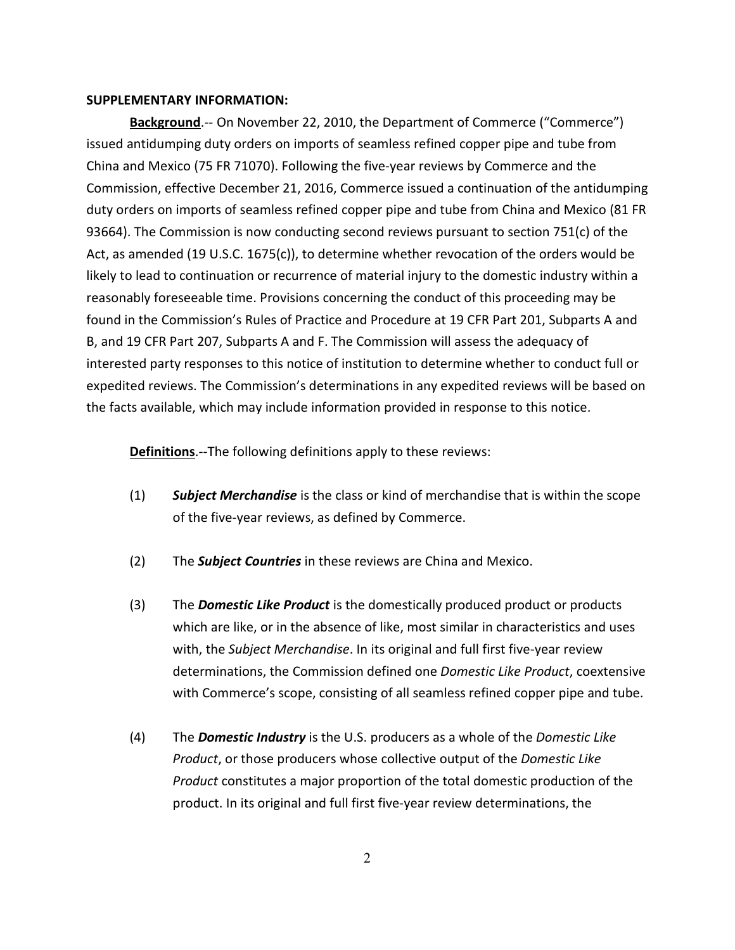## **SUPPLEMENTARY INFORMATION:**

**Background**.-- On November 22, 2010, the Department of Commerce ("Commerce") issued antidumping duty orders on imports of seamless refined copper pipe and tube from China and Mexico (75 FR 71070). Following the five-year reviews by Commerce and the Commission, effective December 21, 2016, Commerce issued a continuation of the antidumping duty orders on imports of seamless refined copper pipe and tube from China and Mexico (81 FR 93664). The Commission is now conducting second reviews pursuant to section 751(c) of the Act, as amended (19 U.S.C. 1675(c)), to determine whether revocation of the orders would be likely to lead to continuation or recurrence of material injury to the domestic industry within a reasonably foreseeable time. Provisions concerning the conduct of this proceeding may be found in the Commission's Rules of Practice and Procedure at 19 CFR Part 201, Subparts A and B, and 19 CFR Part 207, Subparts A and F. The Commission will assess the adequacy of interested party responses to this notice of institution to determine whether to conduct full or expedited reviews. The Commission's determinations in any expedited reviews will be based on the facts available, which may include information provided in response to this notice.

**Definitions**.--The following definitions apply to these reviews:

- (1) *Subject Merchandise* is the class or kind of merchandise that is within the scope of the five-year reviews, as defined by Commerce.
- (2) The *Subject Countries* in these reviews are China and Mexico.
- (3) The *Domestic Like Product* is the domestically produced product or products which are like, or in the absence of like, most similar in characteristics and uses with, the *Subject Merchandise*. In its original and full first five-year review determinations, the Commission defined one *Domestic Like Product*, coextensive with Commerce's scope, consisting of all seamless refined copper pipe and tube.
- (4) The *Domestic Industry* is the U.S. producers as a whole of the *Domestic Like Product*, or those producers whose collective output of the *Domestic Like Product* constitutes a major proportion of the total domestic production of the product. In its original and full first five-year review determinations, the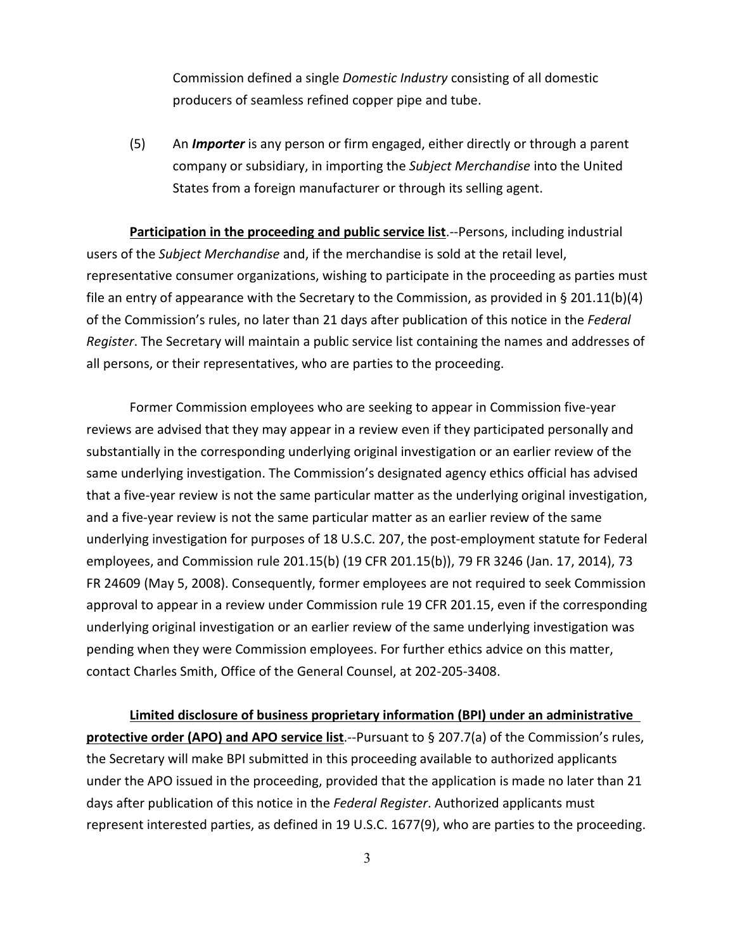Commission defined a single *Domestic Industry* consisting of all domestic producers of seamless refined copper pipe and tube.

(5) An *Importer* is any person or firm engaged, either directly or through a parent company or subsidiary, in importing the *Subject Merchandise* into the United States from a foreign manufacturer or through its selling agent.

**Participation in the proceeding and public service list**.--Persons, including industrial users of the *Subject Merchandise* and, if the merchandise is sold at the retail level, representative consumer organizations, wishing to participate in the proceeding as parties must file an entry of appearance with the Secretary to the Commission, as provided in § 201.11(b)(4) of the Commission's rules, no later than 21 days after publication of this notice in the *Federal Register*. The Secretary will maintain a public service list containing the names and addresses of all persons, or their representatives, who are parties to the proceeding.

Former Commission employees who are seeking to appear in Commission five-year reviews are advised that they may appear in a review even if they participated personally and substantially in the corresponding underlying original investigation or an earlier review of the same underlying investigation. The Commission's designated agency ethics official has advised that a five-year review is not the same particular matter as the underlying original investigation, and a five-year review is not the same particular matter as an earlier review of the same underlying investigation for purposes of 18 U.S.C. 207, the post-employment statute for Federal employees, and Commission rule 201.15(b) (19 CFR 201.15(b)), 79 FR 3246 (Jan. 17, 2014), 73 FR 24609 (May 5, 2008). Consequently, former employees are not required to seek Commission approval to appear in a review under Commission rule 19 CFR 201.15, even if the corresponding underlying original investigation or an earlier review of the same underlying investigation was pending when they were Commission employees. For further ethics advice on this matter, contact Charles Smith, Office of the General Counsel, at 202-205-3408.

**Limited disclosure of business proprietary information (BPI) under an administrative protective order (APO) and APO service list**.--Pursuant to § 207.7(a) of the Commission's rules, the Secretary will make BPI submitted in this proceeding available to authorized applicants under the APO issued in the proceeding, provided that the application is made no later than 21 days after publication of this notice in the *Federal Register*. Authorized applicants must represent interested parties, as defined in 19 U.S.C. 1677(9), who are parties to the proceeding.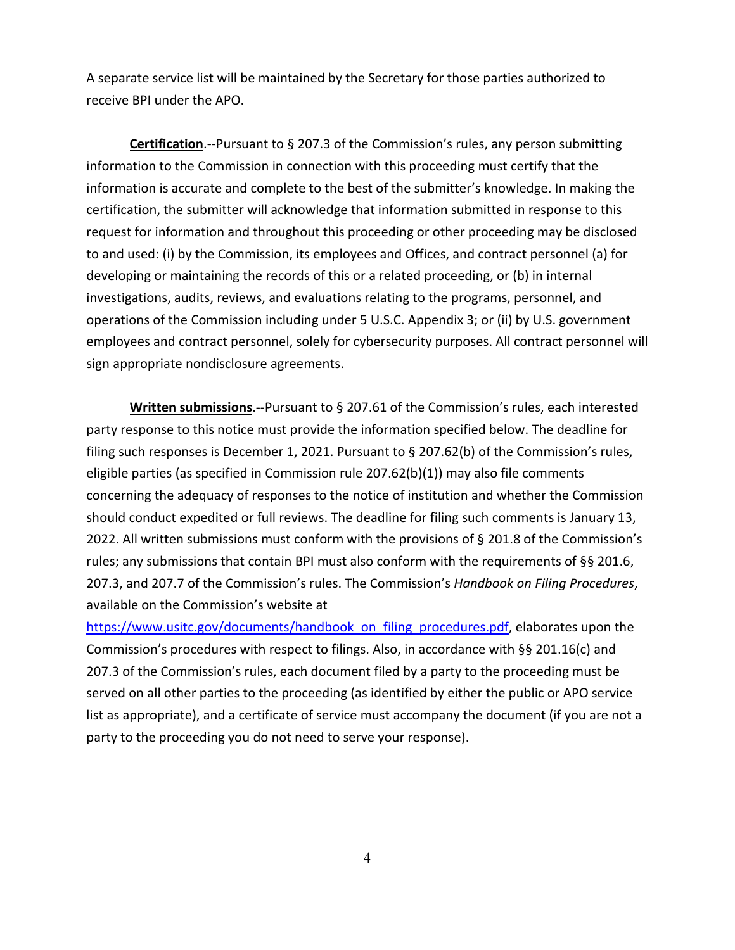A separate service list will be maintained by the Secretary for those parties authorized to receive BPI under the APO.

**Certification**.--Pursuant to § 207.3 of the Commission's rules, any person submitting information to the Commission in connection with this proceeding must certify that the information is accurate and complete to the best of the submitter's knowledge. In making the certification, the submitter will acknowledge that information submitted in response to this request for information and throughout this proceeding or other proceeding may be disclosed to and used: (i) by the Commission, its employees and Offices, and contract personnel (a) for developing or maintaining the records of this or a related proceeding, or (b) in internal investigations, audits, reviews, and evaluations relating to the programs, personnel, and operations of the Commission including under 5 U.S.C. Appendix 3; or (ii) by U.S. government employees and contract personnel, solely for cybersecurity purposes. All contract personnel will sign appropriate nondisclosure agreements.

**Written submissions**.--Pursuant to § 207.61 of the Commission's rules, each interested party response to this notice must provide the information specified below. The deadline for filing such responses is December 1, 2021. Pursuant to § 207.62(b) of the Commission's rules, eligible parties (as specified in Commission rule 207.62(b)(1)) may also file comments concerning the adequacy of responses to the notice of institution and whether the Commission should conduct expedited or full reviews. The deadline for filing such comments is January 13, 2022. All written submissions must conform with the provisions of § 201.8 of the Commission's rules; any submissions that contain BPI must also conform with the requirements of §§ 201.6, 207.3, and 207.7 of the Commission's rules. The Commission's *Handbook on Filing Procedures*, available on the Commission's website at

[https://www.usitc.gov/documents/handbook\\_on\\_filing\\_procedures.pdf,](https://www.usitc.gov/documents/handbook_on_filing_procedures.pdf) elaborates upon the Commission's procedures with respect to filings. Also, in accordance with §§ 201.16(c) and 207.3 of the Commission's rules, each document filed by a party to the proceeding must be served on all other parties to the proceeding (as identified by either the public or APO service list as appropriate), and a certificate of service must accompany the document (if you are not a party to the proceeding you do not need to serve your response).

4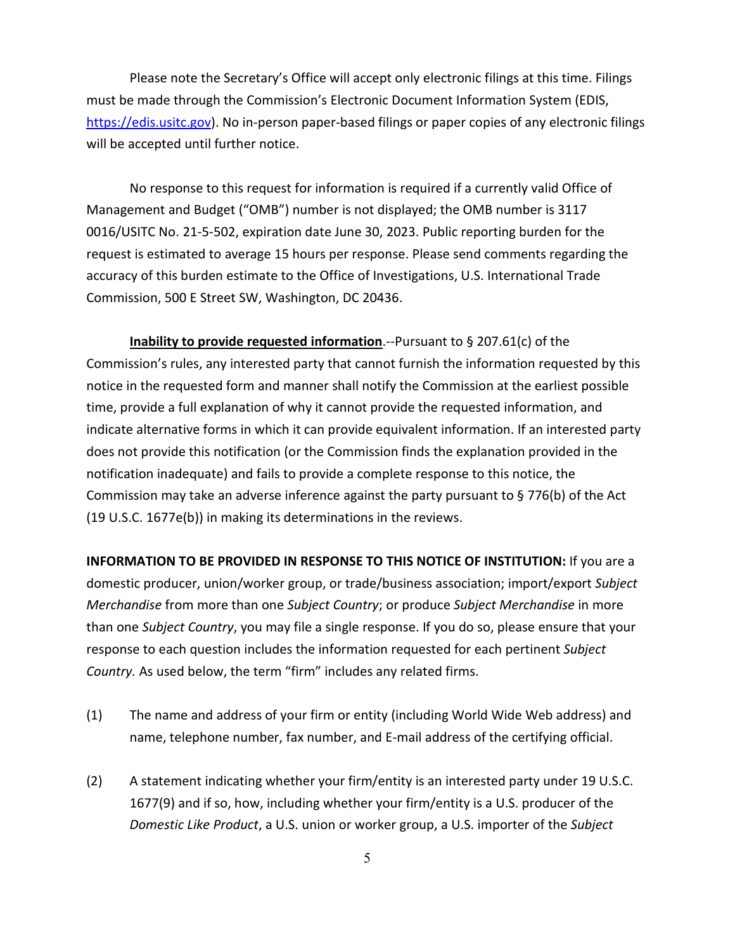Please note the Secretary's Office will accept only electronic filings at this time. Filings must be made through the Commission's Electronic Document Information System (EDIS, [https://edis.usitc.gov\)](https://edis.usitc.gov/). No in-person paper-based filings or paper copies of any electronic filings will be accepted until further notice.

No response to this request for information is required if a currently valid Office of Management and Budget ("OMB") number is not displayed; the OMB number is 3117 0016/USITC No. 21-5-502, expiration date June 30, 2023. Public reporting burden for the request is estimated to average 15 hours per response. Please send comments regarding the accuracy of this burden estimate to the Office of Investigations, U.S. International Trade Commission, 500 E Street SW, Washington, DC 20436.

**Inability to provide requested information**.--Pursuant to § 207.61(c) of the Commission's rules, any interested party that cannot furnish the information requested by this notice in the requested form and manner shall notify the Commission at the earliest possible time, provide a full explanation of why it cannot provide the requested information, and indicate alternative forms in which it can provide equivalent information. If an interested party does not provide this notification (or the Commission finds the explanation provided in the notification inadequate) and fails to provide a complete response to this notice, the Commission may take an adverse inference against the party pursuant to § 776(b) of the Act (19 U.S.C. 1677e(b)) in making its determinations in the reviews.

**INFORMATION TO BE PROVIDED IN RESPONSE TO THIS NOTICE OF INSTITUTION:** If you are a domestic producer, union/worker group, or trade/business association; import/export *Subject Merchandise* from more than one *Subject Country*; or produce *Subject Merchandise* in more than one *Subject Country*, you may file a single response. If you do so, please ensure that your response to each question includes the information requested for each pertinent *Subject Country.* As used below, the term "firm" includes any related firms.

- (1) The name and address of your firm or entity (including World Wide Web address) and name, telephone number, fax number, and E-mail address of the certifying official.
- (2) A statement indicating whether your firm/entity is an interested party under 19 U.S.C. 1677(9) and if so, how, including whether your firm/entity is a U.S. producer of the *Domestic Like Product*, a U.S. union or worker group, a U.S. importer of the *Subject*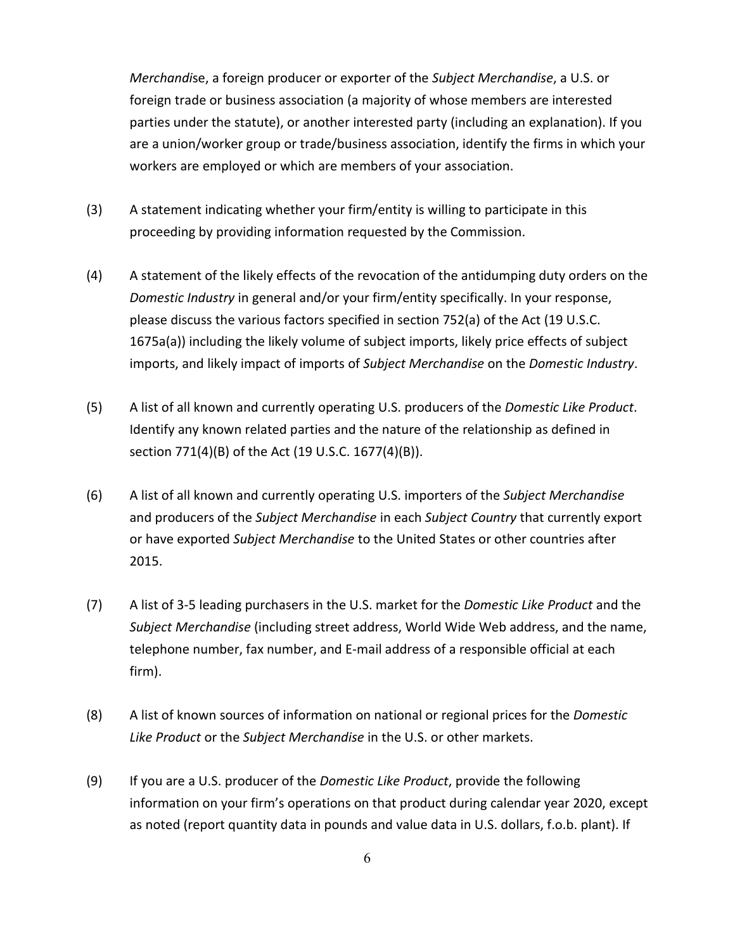*Merchandi*se, a foreign producer or exporter of the *Subject Merchandise*, a U.S. or foreign trade or business association (a majority of whose members are interested parties under the statute), or another interested party (including an explanation). If you are a union/worker group or trade/business association, identify the firms in which your workers are employed or which are members of your association.

- (3) A statement indicating whether your firm/entity is willing to participate in this proceeding by providing information requested by the Commission.
- (4) A statement of the likely effects of the revocation of the antidumping duty orders on the *Domestic Industry* in general and/or your firm/entity specifically. In your response, please discuss the various factors specified in section 752(a) of the Act (19 U.S.C. 1675a(a)) including the likely volume of subject imports, likely price effects of subject imports, and likely impact of imports of *Subject Merchandise* on the *Domestic Industry*.
- (5) A list of all known and currently operating U.S. producers of the *Domestic Like Product*. Identify any known related parties and the nature of the relationship as defined in section 771(4)(B) of the Act (19 U.S.C. 1677(4)(B)).
- (6) A list of all known and currently operating U.S. importers of the *Subject Merchandise* and producers of the *Subject Merchandise* in each *Subject Country* that currently export or have exported *Subject Merchandise* to the United States or other countries after 2015.
- (7) A list of 3-5 leading purchasers in the U.S. market for the *Domestic Like Product* and the *Subject Merchandise* (including street address, World Wide Web address, and the name, telephone number, fax number, and E-mail address of a responsible official at each firm).
- (8) A list of known sources of information on national or regional prices for the *Domestic Like Product* or the *Subject Merchandise* in the U.S. or other markets.
- (9) If you are a U.S. producer of the *Domestic Like Product*, provide the following information on your firm's operations on that product during calendar year 2020, except as noted (report quantity data in pounds and value data in U.S. dollars, f.o.b. plant). If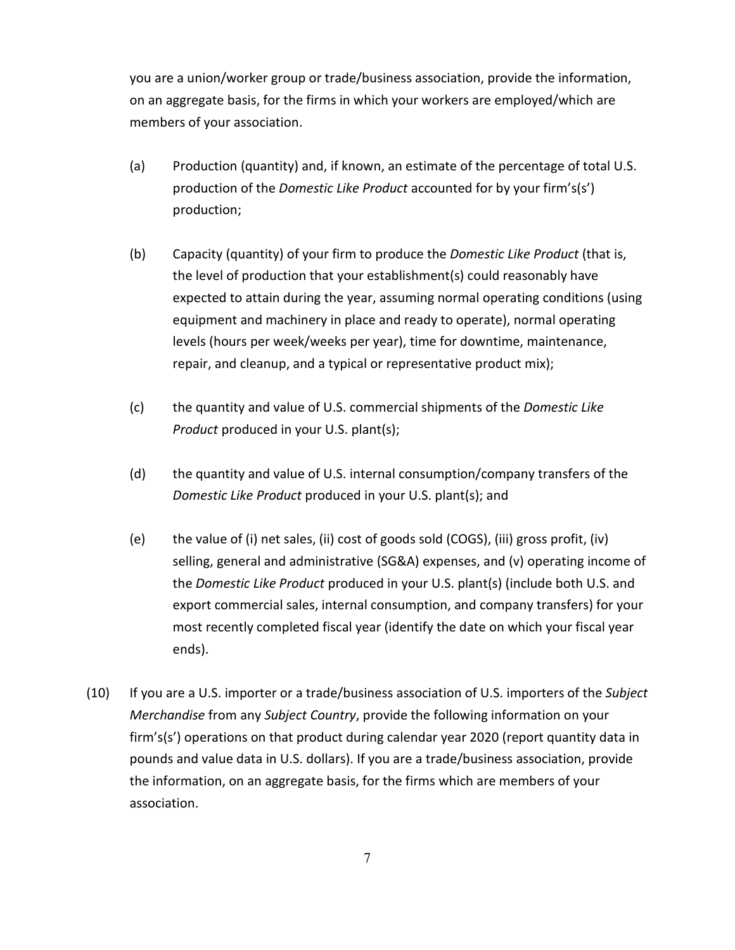you are a union/worker group or trade/business association, provide the information, on an aggregate basis, for the firms in which your workers are employed/which are members of your association.

- (a) Production (quantity) and, if known, an estimate of the percentage of total U.S. production of the *Domestic Like Product* accounted for by your firm's(s') production;
- (b) Capacity (quantity) of your firm to produce the *Domestic Like Product* (that is, the level of production that your establishment(s) could reasonably have expected to attain during the year, assuming normal operating conditions (using equipment and machinery in place and ready to operate), normal operating levels (hours per week/weeks per year), time for downtime, maintenance, repair, and cleanup, and a typical or representative product mix);
- (c) the quantity and value of U.S. commercial shipments of the *Domestic Like Product* produced in your U.S. plant(s);
- (d) the quantity and value of U.S. internal consumption/company transfers of the *Domestic Like Product* produced in your U.S. plant(s); and
- (e) the value of (i) net sales, (ii) cost of goods sold (COGS), (iii) gross profit, (iv) selling, general and administrative (SG&A) expenses, and (v) operating income of the *Domestic Like Product* produced in your U.S. plant(s) (include both U.S. and export commercial sales, internal consumption, and company transfers) for your most recently completed fiscal year (identify the date on which your fiscal year ends).
- (10) If you are a U.S. importer or a trade/business association of U.S. importers of the *Subject Merchandise* from any *Subject Country*, provide the following information on your firm's(s') operations on that product during calendar year 2020 (report quantity data in pounds and value data in U.S. dollars). If you are a trade/business association, provide the information, on an aggregate basis, for the firms which are members of your association.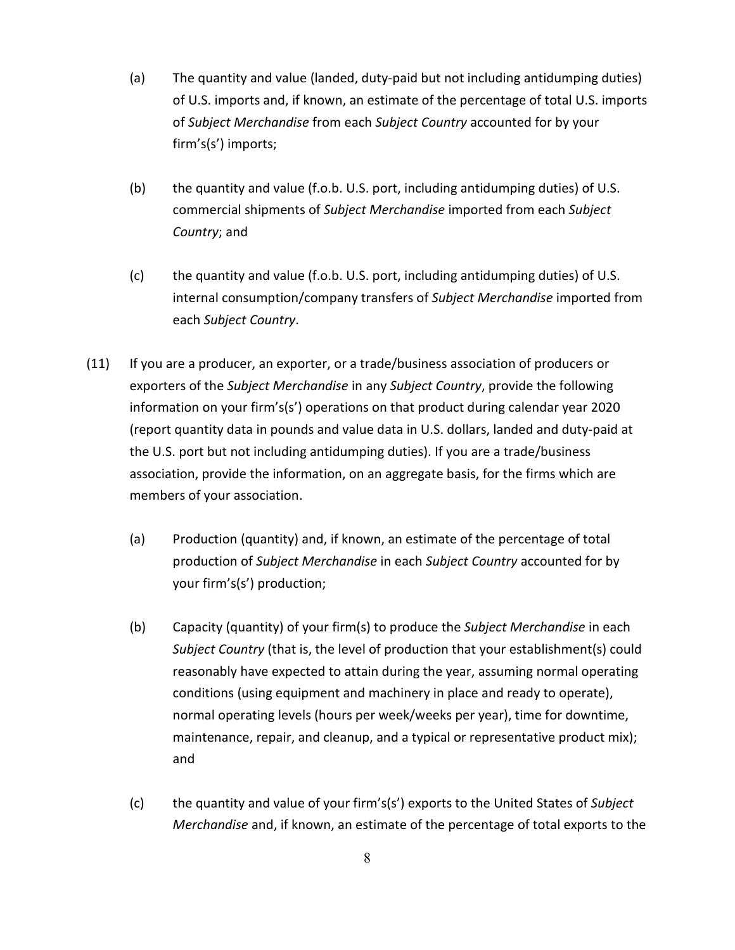- (a) The quantity and value (landed, duty-paid but not including antidumping duties) of U.S. imports and, if known, an estimate of the percentage of total U.S. imports of *Subject Merchandise* from each *Subject Country* accounted for by your firm's(s') imports;
- (b) the quantity and value (f.o.b. U.S. port, including antidumping duties) of U.S. commercial shipments of *Subject Merchandise* imported from each *Subject Country*; and
- (c) the quantity and value (f.o.b. U.S. port, including antidumping duties) of U.S. internal consumption/company transfers of *Subject Merchandise* imported from each *Subject Country*.
- (11) If you are a producer, an exporter, or a trade/business association of producers or exporters of the *Subject Merchandise* in any *Subject Country*, provide the following information on your firm's(s') operations on that product during calendar year 2020 (report quantity data in pounds and value data in U.S. dollars, landed and duty-paid at the U.S. port but not including antidumping duties). If you are a trade/business association, provide the information, on an aggregate basis, for the firms which are members of your association.
	- (a) Production (quantity) and, if known, an estimate of the percentage of total production of *Subject Merchandise* in each *Subject Country* accounted for by your firm's(s') production;
	- (b) Capacity (quantity) of your firm(s) to produce the *Subject Merchandise* in each *Subject Country* (that is, the level of production that your establishment(s) could reasonably have expected to attain during the year, assuming normal operating conditions (using equipment and machinery in place and ready to operate), normal operating levels (hours per week/weeks per year), time for downtime, maintenance, repair, and cleanup, and a typical or representative product mix); and
	- (c) the quantity and value of your firm's(s') exports to the United States of *Subject Merchandise* and, if known, an estimate of the percentage of total exports to the